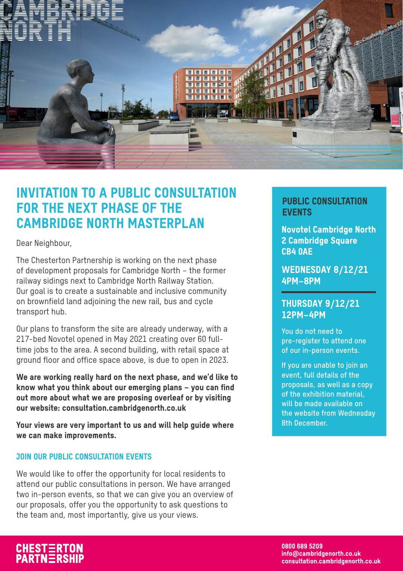

### INVITATION TO A PUBLIC CONSULTATION FOR THE NEXT PHASE OF THE CAMBRIDGE NORTH MASTERPLAN

Dear Neighbour,

The Chesterton Partnership is working on the next phase of development proposals for Cambridge North – the former railway sidings next to Cambridge North Railway Station. Our goal is to create a sustainable and inclusive community on brownfield land adjoining the new rail, bus and cycle transport hub.

Our plans to transform the site are already underway, with a 217-bed Novotel opened in May 2021 creating over 60 fulltime jobs to the area. A second building, with retail space at ground floor and office space above, is due to open in 2023.

We are working really hard on the next phase, and we'd like to know what you think about our emerging plans – you can find out more about what we are proposing overleaf or by visiting our website: consultation.cambridgenorth.co.uk

Your views are very important to us and will help guide where we can make improvements.

#### JOIN OUR PUBLIC CONSULTATION EVENTS

We would like to offer the opportunity for local residents to attend our public consultations in person. We have arranged two in-person events, so that we can give you an overview of our proposals, offer you the opportunity to ask questions to the team and, most importantly, give us your views.

### PUBLIC CONSULTATION EVENTS

Novotel Cambridge North 2 Cambridge Square CB4 0AE

WEDNESDAY 8/12/21 4PM–8PM

#### THURSDAY 9/12/21 12PM–4PM

**You do not need to pre-register to attend one of our in-person events.** 

**If you are unable to join an event, full details of the proposals, as well as a copy of the exhibition material, will be made available on the website from Wednesday 8th December.**

CHESTERTON<br>PARTNERSHIP

0800 689 5209 info@cambridgenorth.co.uk consultation.cambridgenorth.co.uk